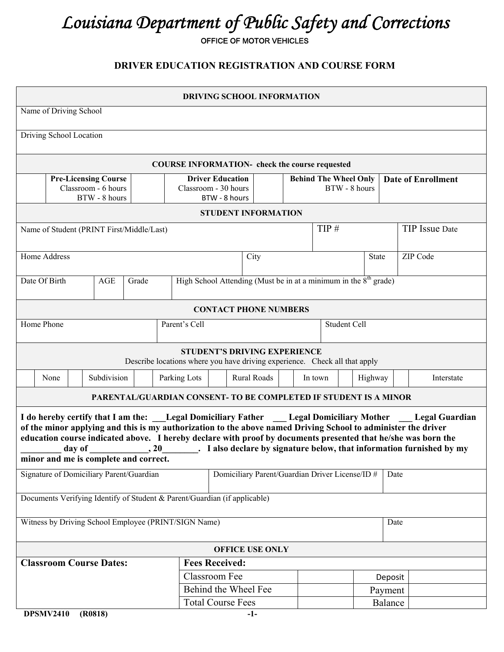## *Louisiana Department of Public Safety and Corrections*

OFFICE OF MOTOR VEHICLES

## **DRIVER EDUCATION REGISTRATION AND COURSE FORM**

| DRIVING SCHOOL INFORMATION                                                                                                                                                                                                                                                                                                                                                                                                                                                                                                      |                                                                    |  |                                               |  |            |                           |  |  |  |
|---------------------------------------------------------------------------------------------------------------------------------------------------------------------------------------------------------------------------------------------------------------------------------------------------------------------------------------------------------------------------------------------------------------------------------------------------------------------------------------------------------------------------------|--------------------------------------------------------------------|--|-----------------------------------------------|--|------------|---------------------------|--|--|--|
| Name of Driving School                                                                                                                                                                                                                                                                                                                                                                                                                                                                                                          |                                                                    |  |                                               |  |            |                           |  |  |  |
| Driving School Location                                                                                                                                                                                                                                                                                                                                                                                                                                                                                                         |                                                                    |  |                                               |  |            |                           |  |  |  |
| <b>COURSE INFORMATION-</b> check the course requested                                                                                                                                                                                                                                                                                                                                                                                                                                                                           |                                                                    |  |                                               |  |            |                           |  |  |  |
| <b>Pre-Licensing Course</b><br>Classroom - 6 hours<br>BTW - 8 hours                                                                                                                                                                                                                                                                                                                                                                                                                                                             | <b>Driver Education</b><br>Classroom - 30 hours<br>BTW - 8 hours   |  | <b>Behind The Wheel Only</b><br>BTW - 8 hours |  |            | <b>Date of Enrollment</b> |  |  |  |
|                                                                                                                                                                                                                                                                                                                                                                                                                                                                                                                                 | <b>STUDENT INFORMATION</b>                                         |  |                                               |  |            |                           |  |  |  |
| Name of Student (PRINT First/Middle/Last)                                                                                                                                                                                                                                                                                                                                                                                                                                                                                       | TIP#<br>TIP Issue Date                                             |  |                                               |  |            |                           |  |  |  |
| Home Address                                                                                                                                                                                                                                                                                                                                                                                                                                                                                                                    | ZIP Code<br>State<br>City                                          |  |                                               |  |            |                           |  |  |  |
| Date Of Birth<br>AGE<br>Grade                                                                                                                                                                                                                                                                                                                                                                                                                                                                                                   | High School Attending (Must be in at a minimum in the $8th$ grade) |  |                                               |  |            |                           |  |  |  |
|                                                                                                                                                                                                                                                                                                                                                                                                                                                                                                                                 | <b>CONTACT PHONE NUMBERS</b>                                       |  |                                               |  |            |                           |  |  |  |
| Home Phone                                                                                                                                                                                                                                                                                                                                                                                                                                                                                                                      | Parent's Cell<br>Student Cell                                      |  |                                               |  |            |                           |  |  |  |
| <b>STUDENT'S DRIVING EXPERIENCE</b><br>Describe locations where you have driving experience. Check all that apply                                                                                                                                                                                                                                                                                                                                                                                                               |                                                                    |  |                                               |  |            |                           |  |  |  |
| Subdivision<br>None                                                                                                                                                                                                                                                                                                                                                                                                                                                                                                             | <b>Rural Roads</b><br>Parking Lots<br>Highway<br>In town           |  |                                               |  | Interstate |                           |  |  |  |
|                                                                                                                                                                                                                                                                                                                                                                                                                                                                                                                                 | PARENTAL/GUARDIAN CONSENT- TO BE COMPLETED IF STUDENT IS A MINOR   |  |                                               |  |            |                           |  |  |  |
| I do hereby certify that I am the: Legal Domiciliary Father Legal Domiciliary Mother Legal Guardian<br>of the minor applying and this is my authorization to the above named Driving School to administer the driver<br>education course indicated above. I hereby declare with proof by documents presented that he/she was born the<br>$\frac{1}{100}$ , 20 $\frac{1}{100}$ . I also declare by signature below, that information furnished by my<br>day of $\overline{\phantom{a}}$<br>minor and me is complete and correct. |                                                                    |  |                                               |  |            |                           |  |  |  |
| Signature of Domiciliary Parent/Guardian<br>Domiciliary Parent/Guardian Driver License/ID #<br>Date                                                                                                                                                                                                                                                                                                                                                                                                                             |                                                                    |  |                                               |  |            |                           |  |  |  |
| Documents Verifying Identify of Student & Parent/Guardian (if applicable)                                                                                                                                                                                                                                                                                                                                                                                                                                                       |                                                                    |  |                                               |  |            |                           |  |  |  |
| Witness by Driving School Employee (PRINT/SIGN Name)<br>Date                                                                                                                                                                                                                                                                                                                                                                                                                                                                    |                                                                    |  |                                               |  |            |                           |  |  |  |
| <b>OFFICE USE ONLY</b>                                                                                                                                                                                                                                                                                                                                                                                                                                                                                                          |                                                                    |  |                                               |  |            |                           |  |  |  |
| <b>Fees Received:</b><br><b>Classroom Course Dates:</b>                                                                                                                                                                                                                                                                                                                                                                                                                                                                         |                                                                    |  |                                               |  |            |                           |  |  |  |
| <b>Classroom Fee</b>                                                                                                                                                                                                                                                                                                                                                                                                                                                                                                            |                                                                    |  | Deposit                                       |  |            |                           |  |  |  |
| Behind the Wheel Fee                                                                                                                                                                                                                                                                                                                                                                                                                                                                                                            |                                                                    |  |                                               |  | Payment    |                           |  |  |  |
| (0.0010)<br><b>DDCMV/2410</b>                                                                                                                                                                                                                                                                                                                                                                                                                                                                                                   | <b>Total Course Fees</b>                                           |  |                                               |  | Balance    |                           |  |  |  |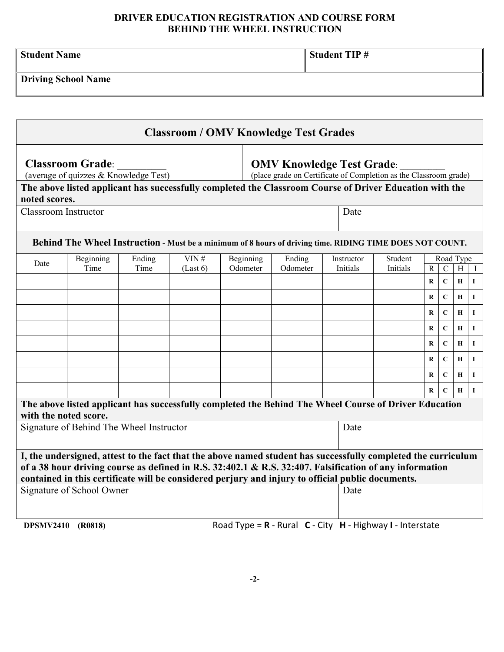## **DRIVER EDUCATION REGISTRATION AND COURSE FORM BEHIND THE WHEEL INSTRUCTION**

| <b>Student Name</b>        | Student TIP # |
|----------------------------|---------------|
| <b>Driving School Name</b> |               |

| <b>Classroom / OMV Knowledge Test Grades</b>                                                                  |                                                                                                                                                                             |      |           |        |            |          |                                                                                                       |          |              |             |              |              |
|---------------------------------------------------------------------------------------------------------------|-----------------------------------------------------------------------------------------------------------------------------------------------------------------------------|------|-----------|--------|------------|----------|-------------------------------------------------------------------------------------------------------|----------|--------------|-------------|--------------|--------------|
|                                                                                                               | <b>Classroom Grade:</b><br>(average of quizzes & Knowledge Test)<br>The above listed applicant has successfully completed the Classroom Course of Driver Education with the |      |           |        |            |          | <b>OMV Knowledge Test Grade:</b><br>(place grade on Certificate of Completion as the Classroom grade) |          |              |             |              |              |
| noted scores.<br><b>Classroom Instructor</b><br>Date                                                          |                                                                                                                                                                             |      |           |        |            |          |                                                                                                       |          |              |             |              |              |
|                                                                                                               | Behind The Wheel Instruction - Must be a minimum of 8 hours of driving time. RIDING TIME DOES NOT COUNT.                                                                    |      |           |        |            |          |                                                                                                       |          |              |             |              |              |
| VIN#<br>Ending<br>Beginning                                                                                   |                                                                                                                                                                             |      | Beginning | Ending | Instructor | Student  | Road Type                                                                                             |          |              |             |              |              |
| Date                                                                                                          | Time                                                                                                                                                                        | Time | (Last 6)  |        | Odometer   | Odometer | Initials                                                                                              | Initials | $\mathbf{R}$ | $\mathbf C$ | H            |              |
|                                                                                                               |                                                                                                                                                                             |      |           |        |            |          |                                                                                                       |          | $\bf{R}$     | $\mathbf C$ | H            | $\mathbf{I}$ |
|                                                                                                               |                                                                                                                                                                             |      |           |        |            |          |                                                                                                       |          | $\bf R$      | $\mathbf C$ | $\mathbf H$  | $\mathbf{I}$ |
|                                                                                                               |                                                                                                                                                                             |      |           |        |            |          |                                                                                                       |          | $\bf{R}$     | $\mathbf C$ | $\bf{H}$     | $\bf{I}$     |
|                                                                                                               |                                                                                                                                                                             |      |           |        |            |          |                                                                                                       |          | $\bf{R}$     | $\mathbf C$ | $\mathbf{H}$ | $\mathbf{I}$ |
|                                                                                                               |                                                                                                                                                                             |      |           |        |            |          |                                                                                                       |          | R            | $\mathbf C$ | Н            | $\mathbf I$  |
|                                                                                                               |                                                                                                                                                                             |      |           |        |            |          |                                                                                                       |          | $\bf R$      | $\mathbf C$ | $\bf{H}$     | $\mathbf I$  |
|                                                                                                               |                                                                                                                                                                             |      |           |        |            |          |                                                                                                       |          | $\bf R$      | $\mathbf C$ | $\mathbf H$  | $\mathbf I$  |
|                                                                                                               |                                                                                                                                                                             |      |           |        |            |          |                                                                                                       |          | $\bf R$      | $\mathbf C$ | Н            | $\mathbf I$  |
|                                                                                                               | The above listed applicant has successfully completed the Behind The Wheel Course of Driver Education                                                                       |      |           |        |            |          |                                                                                                       |          |              |             |              |              |
|                                                                                                               | with the noted score.                                                                                                                                                       |      |           |        |            |          |                                                                                                       |          |              |             |              |              |
| Signature of Behind The Wheel Instructor                                                                      |                                                                                                                                                                             |      |           |        |            | Date     |                                                                                                       |          |              |             |              |              |
|                                                                                                               |                                                                                                                                                                             |      |           |        |            |          |                                                                                                       |          |              |             |              |              |
| I, the undersigned, attest to the fact that the above named student has successfully completed the curriculum |                                                                                                                                                                             |      |           |        |            |          |                                                                                                       |          |              |             |              |              |
|                                                                                                               | of a 38 hour driving course as defined in R.S. 32:402.1 & R.S. 32:407. Falsification of any information                                                                     |      |           |        |            |          |                                                                                                       |          |              |             |              |              |
|                                                                                                               | contained in this certificate will be considered perjury and injury to official public documents.                                                                           |      |           |        |            |          |                                                                                                       |          |              |             |              |              |
| Signature of School Owner<br>Date                                                                             |                                                                                                                                                                             |      |           |        |            |          |                                                                                                       |          |              |             |              |              |
|                                                                                                               |                                                                                                                                                                             |      |           |        |            |          |                                                                                                       |          |              |             |              |              |
| DPSMV2410                                                                                                     | (R0818)                                                                                                                                                                     |      |           |        |            |          | Road Type = $R$ - Rural $C$ - City $H$ - Highway I - Interstate                                       |          |              |             |              |              |